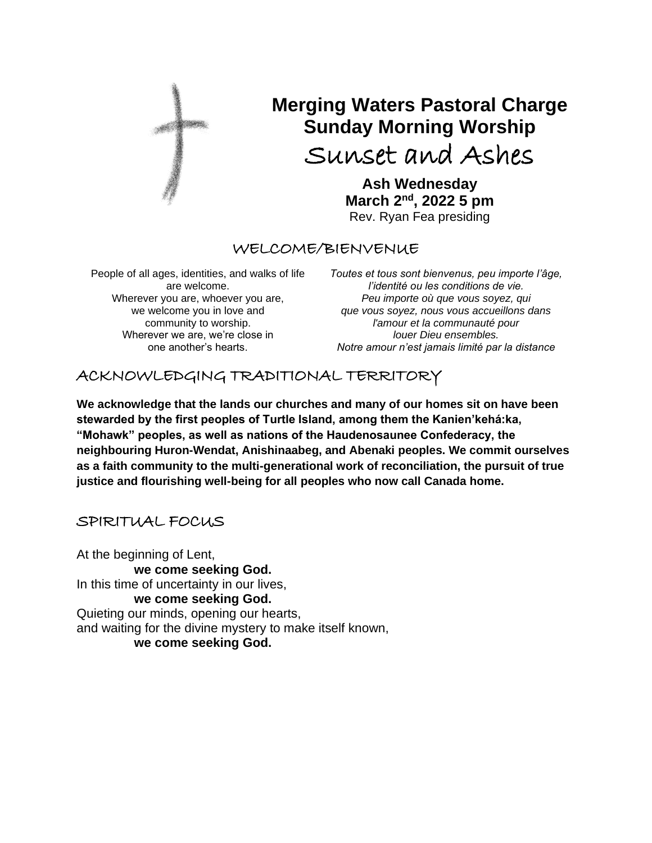

# **Merging Waters Pastoral Charge Sunday Morning Worship**

Sunset and Ashes

**Ash Wednesday March 2nd, 2022 5 pm** Rev. Ryan Fea presiding

## WELCOME/BIENVENUE

People of all ages, identities, and walks of life are welcome. Wherever you are, whoever you are, we welcome you in love and community to worship. Wherever we are, we're close in one another's hearts.

*Toutes et tous sont bienvenus, peu importe l'âge, l'identité ou les conditions de vie. Peu importe où que vous soyez, qui que vous soyez, nous vous accueillons dans l'amour et la communauté pour louer Dieu ensembles. Notre amour n'est jamais limité par la distance*

## ACKNOWLEDGING TRADITIONAL TERRITORY

**We acknowledge that the lands our churches and many of our homes sit on have been stewarded by the first peoples of Turtle Island, among them the Kanien'kehá:ka, "Mohawk" peoples, as well as nations of the Haudenosaunee Confederacy, the neighbouring Huron-Wendat, Anishinaabeg, and Abenaki peoples. We commit ourselves as a faith community to the multi-generational work of reconciliation, the pursuit of true justice and flourishing well-being for all peoples who now call Canada home.**

## SPIRITUAL FOCUS

At the beginning of Lent, **we come seeking God.** In this time of uncertainty in our lives, **we come seeking God.** Quieting our minds, opening our hearts, and waiting for the divine mystery to make itself known, **we come seeking God.**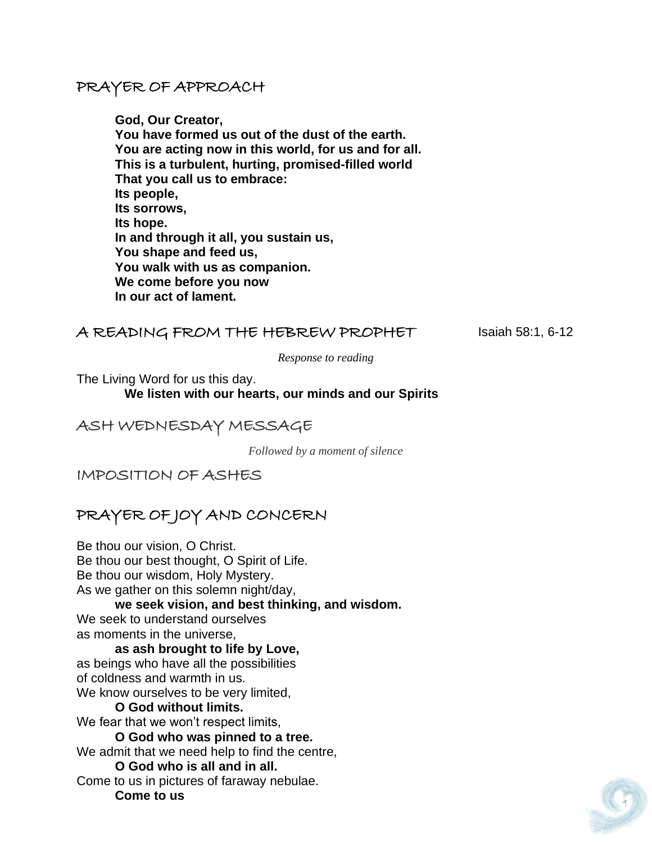## PRAYER OF APPROACH

**God, Our Creator, You have formed us out of the dust of the earth. You are acting now in this world, for us and for all. This is a turbulent, hurting, promised-filled world That you call us to embrace: Its people, Its sorrows, Its hope. In and through it all, you sustain us, You shape and feed us, You walk with us as companion. We come before you now In our act of lament.**

## A READING FROM THE HEBREW PROPHET Isaiah 58:1, 6-12

*Response to reading*

The Living Word for us this day.

 **We listen with our hearts, our minds and our Spirits**

## ASH WEDNESDAY MESSAGE

*Followed by a moment of silence*

IMPOSITION OF ASHES

## PRAYER OF JOY AND CONCERN

Be thou our vision, O Christ. Be thou our best thought, O Spirit of Life. Be thou our wisdom, Holy Mystery. As we gather on this solemn night/day, **we seek vision, and best thinking, and wisdom.**  We seek to understand ourselves as moments in the universe, **as ash brought to life by Love,**  as beings who have all the possibilities of coldness and warmth in us. We know ourselves to be very limited, **O God without limits.** We fear that we won't respect limits.

**O God who was pinned to a tree.** We admit that we need help to find the centre, **O God who is all and in all.**

Come to us in pictures of faraway nebulae. **Come to us** 

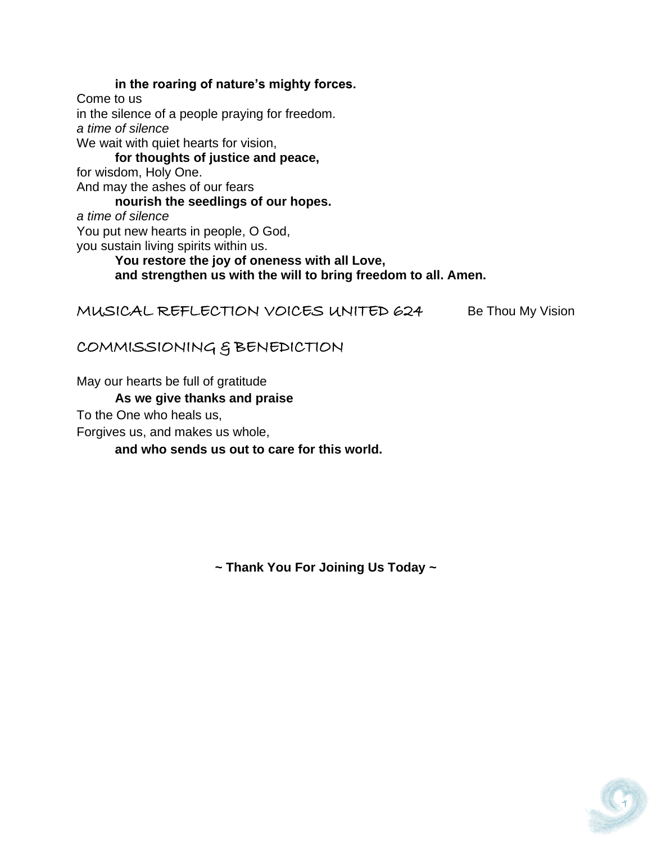**in the roaring of nature's mighty forces.** Come to us in the silence of a people praying for freedom. *a time of silence* We wait with quiet hearts for vision, **for thoughts of justice and peace,**  for wisdom, Holy One. And may the ashes of our fears **nourish the seedlings of our hopes.**  *a time of silence* You put new hearts in people, O God, you sustain living spirits within us. **You restore the joy of oneness with all Love, and strengthen us with the will to bring freedom to all. Amen.**

MUSICAL REFLECTION VOICES UNITED 624 Be Thou My Vision

## COMMISSIONING & BENEDICTION

May our hearts be full of gratitude

#### **As we give thanks and praise**

To the One who heals us,

Forgives us, and makes us whole,

**and who sends us out to care for this world.**

**~ Thank You For Joining Us Today ~**

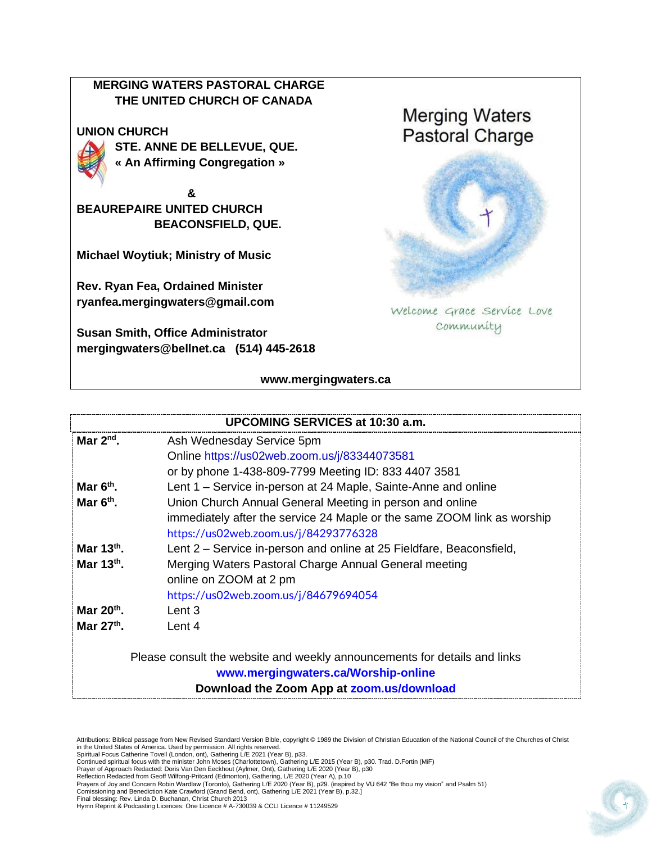### **MERGING WATERS PASTORAL CHARGE THE UNITED CHURCH OF CANADA**

#### **UNION CHURCH**



**STE. ANNE DE BELLEVUE, QUE. « An Affirming Congregation »** 

 **& BEAUREPAIRE UNITED CHURCH BEACONSFIELD, QUE.**

**Michael Woytiuk; Ministry of Music**

**Rev. Ryan Fea, Ordained Minister [ryanfea.mergingwaters@gmail.com](mailto:ryanfea.mergingwaters@gmail.com)** 

**Susan Smith, Office Administrator [mergingwaters@bellnet.ca](mailto:mergingwaters@bellnet.ca) (514) 445-2618** **Merging Waters Pastoral Charge** 



Welcome Grace Service Love community

#### **[www.mergingwaters.ca](http://www.mergingwaters.ca/)**

| UPCOMING SERVICES at 10:30 a.m.                                           |                                                                         |
|---------------------------------------------------------------------------|-------------------------------------------------------------------------|
| Mar $2nd$ .                                                               | Ash Wednesday Service 5pm                                               |
|                                                                           | Online https://us02web.zoom.us/j/83344073581                            |
|                                                                           | or by phone 1-438-809-7799 Meeting ID: 833 4407 3581                    |
| Mar $6th$ .                                                               | Lent 1 – Service in-person at 24 Maple, Sainte-Anne and online          |
| Mar $6th$ .                                                               | Union Church Annual General Meeting in person and online                |
|                                                                           | immediately after the service 24 Maple or the same ZOOM link as worship |
|                                                                           | https://us02web.zoom.us/j/84293776328                                   |
| Mar $13th$ .                                                              | Lent 2 – Service in-person and online at 25 Fieldfare, Beaconsfield,    |
| Mar $13th$ .                                                              | Merging Waters Pastoral Charge Annual General meeting                   |
|                                                                           | online on ZOOM at 2 pm                                                  |
|                                                                           | https://us02web.zoom.us/j/84679694054                                   |
| Mar $20th$ .                                                              | Lent $3$                                                                |
| Mar 27th.                                                                 | Lent 4                                                                  |
| Please consult the website and weekly announcements for details and links |                                                                         |
|                                                                           | www.mergingwaters.ca/Worship-online                                     |
|                                                                           | Download the Zoom App at zoom.us/download                               |

Attributions: Biblical passage from New Revised Standard Version Bible, copyright © 1989 the Division of Christian Education of the National Council of the Churches of Christ<br>in the United States of America. Used by permi

- Comissioning and Benediction Kate Crawford (Grand Bend, ont), Gathering L/E 2021 (Year B), p.32.] Final blessing: Rev. Linda D. Buchanan, Christ Church 2013
- 



Prayer of Approach Redacted: Doris Van Den Eeckhout (Aylmer, Ont), Gathering L/E 2020 (Year B), p30

Reflection Redacted from Geoff Wilfong-Pritcard (Edmonton), Gathering, L/E 2020 (Year A), p.10<br>Prayers of Joy and Concern Robin Wardlaw (Toronto), Gathering L/E 2020 (Year B), p29. (inspired by VU 642 "Be thou my vision" a

Hymn Reprint & Podcasting Licences: One Licence # A-730039 & CCLI Licence # 11249529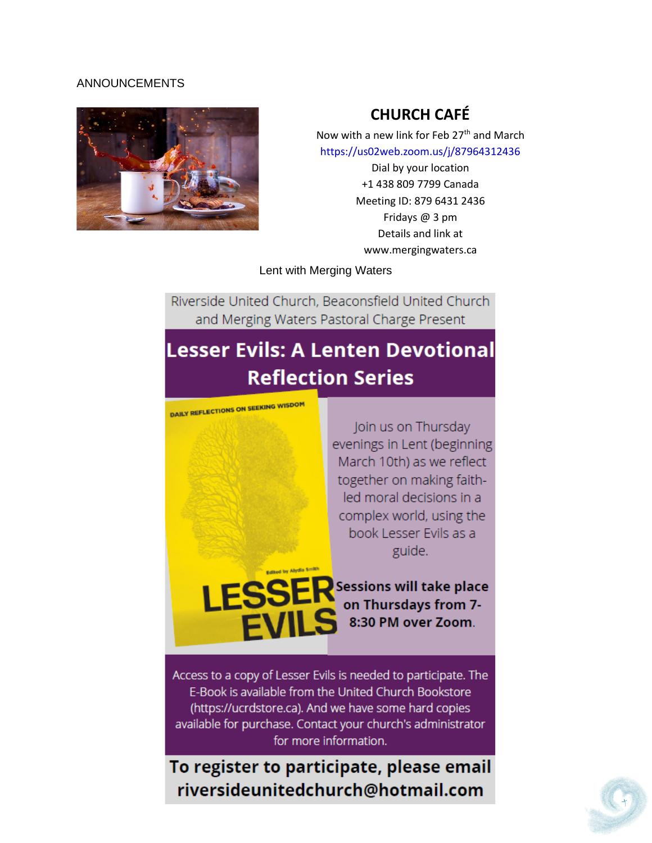#### ANNOUNCEMENTS



## **CHURCH CAFÉ**

Now with a new link for Feb 27<sup>th</sup> and March <https://us02web.zoom.us/j/87964312436>

> Dial by your location +1 438 809 7799 Canada Meeting ID: 879 6431 2436 Fridays @ 3 pm Details and link at www.mergingwaters.ca

Lent with Merging Waters

Riverside United Church, Beaconsfield United Church and Merging Waters Pastoral Charge Present

# **Lesser Evils: A Lenten Devotional Reflection Series**

**DAILY REFLECTIONS ON SEEKING WISDOM** 

Join us on Thursday evenings in Lent (beginning March 10th) as we reflect together on making faithled moral decisions in a complex world, using the book Lesser Evils as a guide.

Sessions will take place on Thursdays from 7-8:30 PM over Zoom.

Access to a copy of Lesser Evils is needed to participate. The E-Book is available from the United Church Bookstore (https://ucrdstore.ca). And we have some hard copies available for purchase. Contact your church's administrator for more information.

To register to participate, please email riversideunitedchurch@hotmail.com

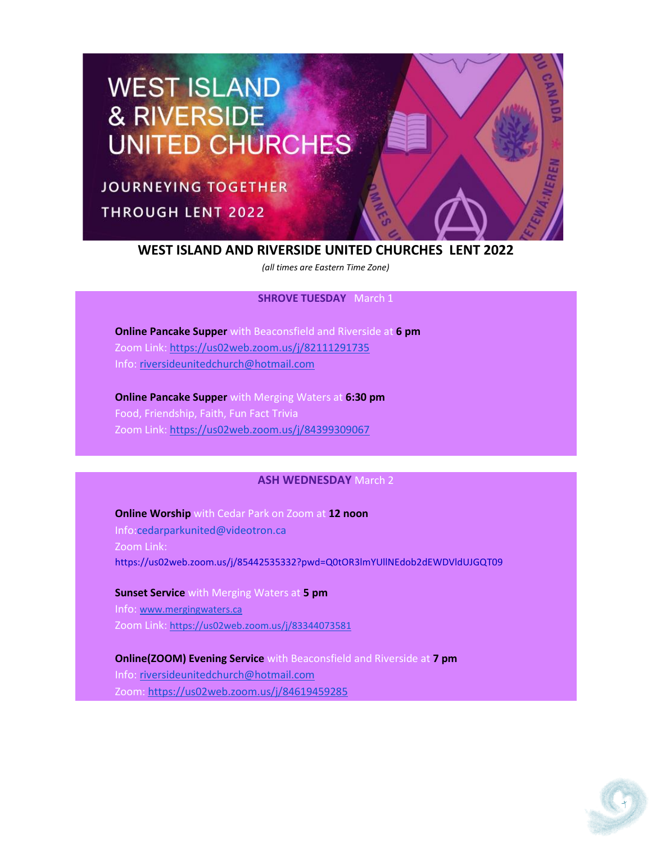# **WEST ISLAND** & RIVERSIDE **UNITED CHURCHES**

**JOURNEYING TOGETHER THROUGH LENT 2022** 

#### **WEST ISLAND AND RIVERSIDE UNITED CHURCHES LENT 2022**

*(all times are Eastern Time Zone)*

#### **SHROVE TUESDAY** March 1

**Online Pancake Supper** with Beaconsfield and Riverside at **6 pm** Zoom Link: <https://us02web.zoom.us/j/82111291735> Info: [riversideunitedchurch@hotmail.com](mailto:riversideunitedchurch@hotmail.com)

**Online Pancake Supper** with Merging Waters at **6:30 pm** Food, Friendship, Faith, Fun Fact Trivia Zoom Link: <https://us02web.zoom.us/j/84399309067>

#### **ASH WEDNESDAY** March 2

**Online Worship** with Cedar Park on Zoom at **12 noon** Info[:cedarparkunited@videotron.ca](mailto:cedarparkunited@videotron.ca) Zoom Link: <https://us02web.zoom.us/j/85442535332?pwd=Q0tOR3lmYUllNEdob2dEWDVldUJGQT09>

**Sunset Service** with Merging Waters at **5 pm** Info: [www.mergingwaters.ca](http://www.mergingwaters.ca/) Zoom Link: <https://us02web.zoom.us/j/83344073581>

**Online(ZOOM) Evening Service** with Beaconsfield and Riverside at **7 pm** Info: [riversideunitedchurch@hotmail.com](mailto:riversideunitedchurch@hotmail.com) Zoom: <https://us02web.zoom.us/j/84619459285>